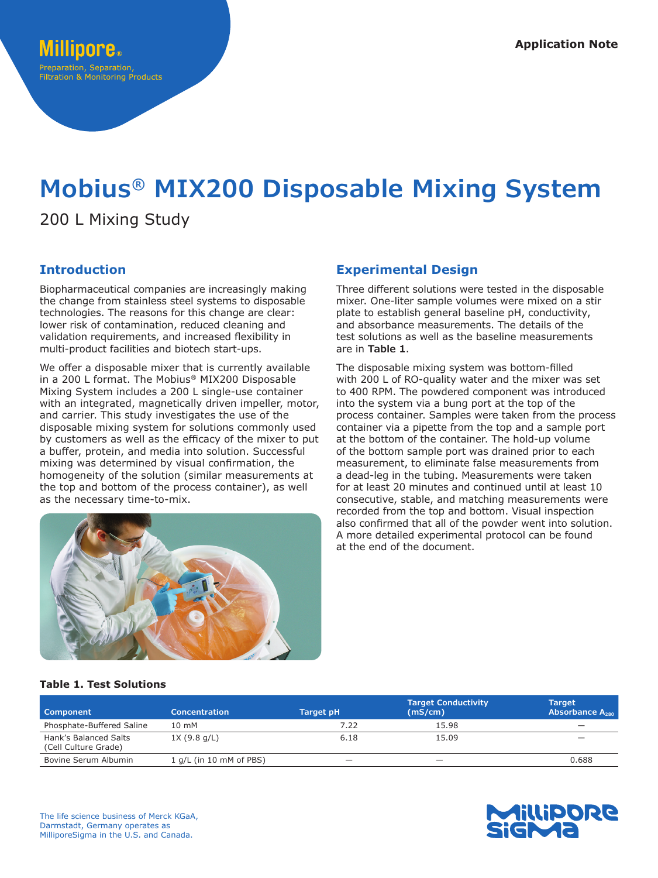# **Mobius® MIX200 Disposable Mixing System**

200 L Mixing Study

# **Introduction**

Biopharmaceutical companies are increasingly making the change from stainless steel systems to disposable technologies. The reasons for this change are clear: lower risk of contamination, reduced cleaning and validation requirements, and increased flexibility in multi-product facilities and biotech start-ups.

We offer a disposable mixer that is currently available in a 200 L format. The Mobius® MIX200 Disposable Mixing System includes a 200 L single-use container with an integrated, magnetically driven impeller, motor, and carrier. This study investigates the use of the disposable mixing system for solutions commonly used by customers as well as the efficacy of the mixer to put a buffer, protein, and media into solution. Successful mixing was determined by visual confirmation, the homogeneity of the solution (similar measurements at the top and bottom of the process container), as well as the necessary time-to-mix.



Three different solutions were tested in the disposable mixer. One-liter sample volumes were mixed on a stir plate to establish general baseline pH, conductivity, and absorbance measurements. The details of the test solutions as well as the baseline measurements are in **Table 1**.

The disposable mixing system was bottom-filled with 200 L of RO-quality water and the mixer was set to 400 RPM. The powdered component was introduced into the system via a bung port at the top of the process container. Samples were taken from the process container via a pipette from the top and a sample port at the bottom of the container. The hold-up volume of the bottom sample port was drained prior to each measurement, to eliminate false measurements from a dead-leg in the tubing. Measurements were taken for at least 20 minutes and continued until at least 10 consecutive, stable, and matching measurements were recorded from the top and bottom. Visual inspection also confirmed that all of the powder went into solution. A more detailed experimental protocol can be found at the end of the document.



## **Table 1. Test Solutions**

| Component                                     | <b>Concentration</b>    | Target pH | <b>Target Conductivity</b><br>(mS/cm) | <b>Target</b><br>Absorbance $A_{280}$ |
|-----------------------------------------------|-------------------------|-----------|---------------------------------------|---------------------------------------|
| Phosphate-Buffered Saline                     | 10 mM                   | 7.22      | 15.98                                 | -                                     |
| Hank's Balanced Salts<br>(Cell Culture Grade) | 1X(9.8 q/L)             | 6.18      | 15.09                                 | $\overline{\phantom{a}}$              |
| Bovine Serum Albumin                          | 1 g/L (in 10 mM of PBS) | -         | -                                     | 0.688                                 |

The life science business of Merck KGaA, Darmstadt, Germany operates as MilliporeSigma in the U.S. and Canada.

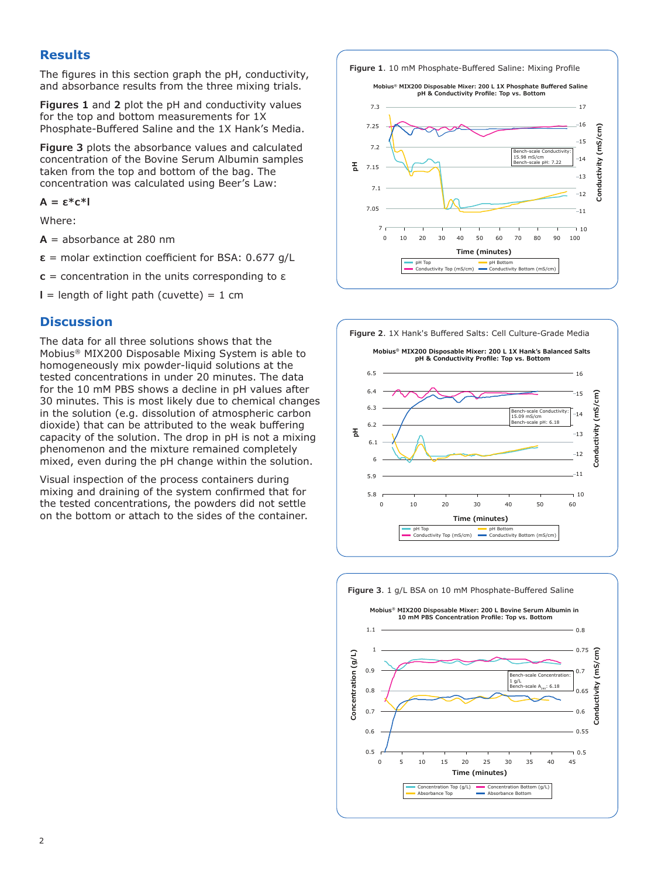# **Results**

The figures in this section graph the pH, conductivity, and absorbance results from the three mixing trials.

**Figures 1** and **2** plot the pH and conductivity values for the top and bottom measurements for 1X Phosphate-Buffered Saline and the 1X Hank's Media.

**Figure 3** plots the absorbance values and calculated concentration of the Bovine Serum Albumin samples taken from the top and bottom of the bag. The concentration was calculated using Beer's Law:

**A = ε\*c\*l**

Where:

 $A =$  absorbance at 280 nm

**ε** = molar extinction coefficient for BSA: 0.677 g/L

**c** = concentration in the units corresponding to ε

 $l =$  length of light path (cuvette) = 1 cm

## **Discussion**

The data for all three solutions shows that the Mobius® MIX200 Disposable Mixing System is able to homogeneously mix powder-liquid solutions at the tested concentrations in under 20 minutes. The data for the 10 mM PBS shows a decline in pH values after 30 minutes. This is most likely due to chemical changes in the solution (e.g. dissolution of atmospheric carbon dioxide) that can be attributed to the weak buffering capacity of the solution. The drop in pH is not a mixing phenomenon and the mixture remained completely mixed, even during the pH change within the solution.

Visual inspection of the process containers during mixing and draining of the system confirmed that for the tested concentrations, the powders did not settle on the bottom or attach to the sides of the container. **Figure 1**. 10 mM Phosphate-Buffered Saline: Mixing Profile





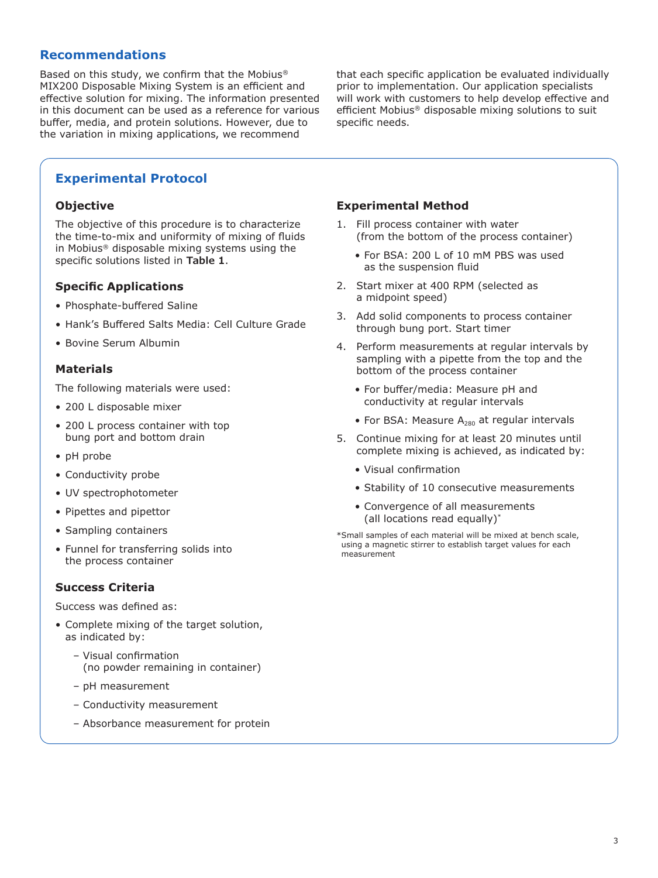# **Recommendations**

Based on this study, we confirm that the Mobius® MIX200 Disposable Mixing System is an efficient and effective solution for mixing. The information presented in this document can be used as a reference for various buffer, media, and protein solutions. However, due to the variation in mixing applications, we recommend

that each specific application be evaluated individually prior to implementation. Our application specialists will work with customers to help develop effective and efficient Mobius® disposable mixing solutions to suit specific needs.

# **Experimental Protocol**

#### **Objective**

The objective of this procedure is to characterize the time-to-mix and uniformity of mixing of fluids in Mobius® disposable mixing systems using the specific solutions listed in **Table 1**.

## **Specific Applications**

- Phosphate-buffered Saline
- Hank's Buffered Salts Media: Cell Culture Grade
- Bovine Serum Albumin

#### **Materials**

The following materials were used:

- 200 L disposable mixer
- 200 L process container with top bung port and bottom drain
- pH probe
- Conductivity probe
- UV spectrophotometer
- Pipettes and pipettor
- Sampling containers
- Funnel for transferring solids into the process container

#### **Success Criteria**

Success was defined as:

- Complete mixing of the target solution, as indicated by:
	- Visual confirmation (no powder remaining in container)
	- pH measurement
	- Conductivity measurement
	- Absorbance measurement for protein

#### **Experimental Method**

- 1. Fill process container with water (from the bottom of the process container)
	- For BSA: 200 L of 10 mM PBS was used as the suspension fluid
- 2. Start mixer at 400 RPM (selected as a midpoint speed)
- 3. Add solid components to process container through bung port. Start timer
- 4. Perform measurements at regular intervals by sampling with a pipette from the top and the bottom of the process container
	- For buffer/media: Measure pH and conductivity at regular intervals
	- For BSA: Measure  $A_{280}$  at regular intervals
- 5. Continue mixing for at least 20 minutes until complete mixing is achieved, as indicated by:
	- Visual confirmation
	- Stability of 10 consecutive measurements
	- Convergence of all measurements (all locations read equally)\*

\*Small samples of each material will be mixed at bench scale, using a magnetic stirrer to establish target values for each measurement